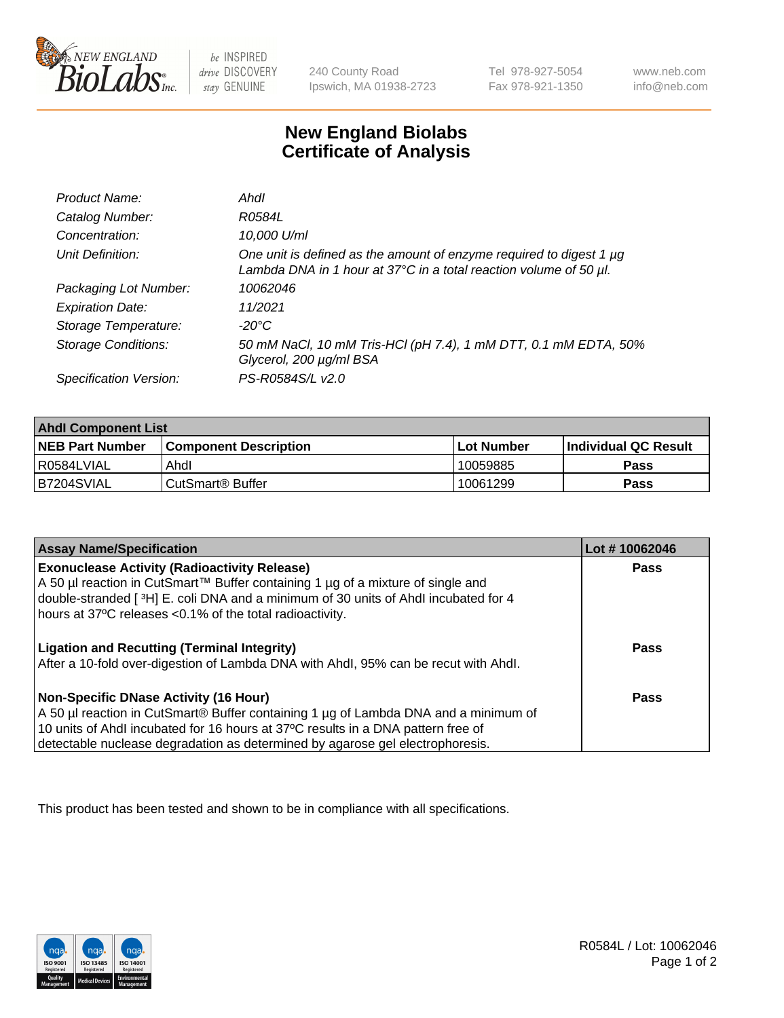

be INSPIRED drive DISCOVERY stay GENUINE

240 County Road Ipswich, MA 01938-2723 Tel 978-927-5054 Fax 978-921-1350

www.neb.com info@neb.com

## **New England Biolabs Certificate of Analysis**

| Product Name:              | Ahdl                                                                                                                                                    |
|----------------------------|---------------------------------------------------------------------------------------------------------------------------------------------------------|
| Catalog Number:            | R0584L                                                                                                                                                  |
| Concentration:             | 10,000 U/ml                                                                                                                                             |
| Unit Definition:           | One unit is defined as the amount of enzyme required to digest 1 µg<br>Lambda DNA in 1 hour at $37^{\circ}$ C in a total reaction volume of 50 $\mu$ l. |
| Packaging Lot Number:      | 10062046                                                                                                                                                |
| <b>Expiration Date:</b>    | 11/2021                                                                                                                                                 |
| Storage Temperature:       | -20°C                                                                                                                                                   |
| <b>Storage Conditions:</b> | 50 mM NaCl, 10 mM Tris-HCl (pH 7.4), 1 mM DTT, 0.1 mM EDTA, 50%<br>Glycerol, 200 µg/ml BSA                                                              |
| Specification Version:     | PS-R0584S/L v2.0                                                                                                                                        |

| <b>Ahdl Component List</b> |                              |              |                             |  |
|----------------------------|------------------------------|--------------|-----------------------------|--|
| <b>NEB Part Number</b>     | <b>Component Description</b> | l Lot Number | <b>Individual QC Result</b> |  |
| I R0584LVIAL               | Ahdl                         | 10059885     | Pass                        |  |
| B7204SVIAL                 | l CutSmart® Buffer           | 10061299     | Pass                        |  |

| <b>Assay Name/Specification</b>                                                                                                                | Lot #10062046 |
|------------------------------------------------------------------------------------------------------------------------------------------------|---------------|
| <b>Exonuclease Activity (Radioactivity Release)</b>                                                                                            | Pass          |
| A 50 µl reaction in CutSmart™ Buffer containing 1 µg of a mixture of single and                                                                |               |
| double-stranded [3H] E. coli DNA and a minimum of 30 units of Ahdl incubated for 4<br>hours at 37°C releases <0.1% of the total radioactivity. |               |
|                                                                                                                                                |               |
| <b>Ligation and Recutting (Terminal Integrity)</b>                                                                                             | Pass          |
| After a 10-fold over-digestion of Lambda DNA with Ahdl, 95% can be recut with Ahdl.                                                            |               |
| <b>Non-Specific DNase Activity (16 Hour)</b>                                                                                                   | Pass          |
| A 50 µl reaction in CutSmart® Buffer containing 1 µg of Lambda DNA and a minimum of                                                            |               |
| 10 units of Ahdl incubated for 16 hours at 37°C results in a DNA pattern free of                                                               |               |
| detectable nuclease degradation as determined by agarose gel electrophoresis.                                                                  |               |

This product has been tested and shown to be in compliance with all specifications.